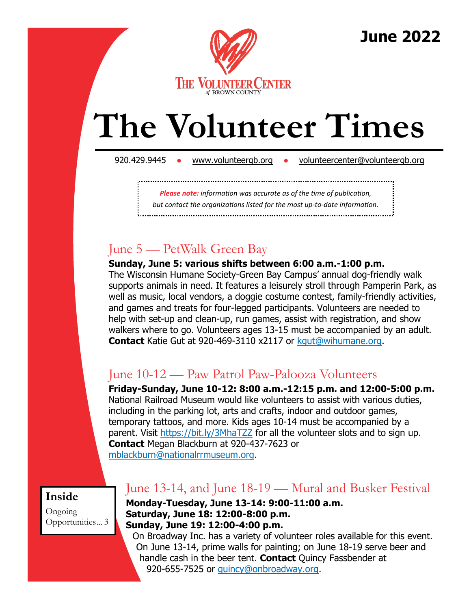

**June 2022**

# **The Volunteer Times**

920.429.9445 • [www.volunteergb.org](http://www.volunteergb.org) • [volunteercenter@volunteergb.org](mailto:volunteercenter@volunteergb.org)

*Please note: information was accurate as of the time of publication,* 

*but contact the organizations listed for the most up-to-date information.* 

## June 5 — PetWalk Green Bay

**Sunday, June 5: various shifts between 6:00 a.m.-1:00 p.m.** 

The Wisconsin Humane Society-Green Bay Campus' annual dog-friendly walk supports animals in need. It features a leisurely stroll through Pamperin Park, as well as music, local vendors, a doggie costume contest, family-friendly activities, and games and treats for four-legged participants. Volunteers are needed to help with set-up and clean-up, run games, assist with registration, and show walkers where to go. Volunteers ages 13-15 must be accompanied by an adult. **Contact** Katie Gut at 920-469-3110 x2117 or [kgut@wihumane.org.](mailto:kgut@wihumane.org)

## June 10-12 — Paw Patrol Paw-Palooza Volunteers

**Friday-Sunday, June 10-12: 8:00 a.m.-12:15 p.m. and 12:00-5:00 p.m.**  National Railroad Museum would like volunteers to assist with various duties, including in the parking lot, arts and crafts, indoor and outdoor games, temporary tattoos, and more. Kids ages 10-14 must be accompanied by a parent. Visit <https://bit.ly/3MhaTZZ> for all the volunteer slots and to sign up. **Contact** Megan Blackburn at 920-437-7623 or [mblackburn@nationalrrmuseum.org.](mailto:mblackburn@nationalrrmuseum.org)

**Inside**

Ongoing Opportunities... 3

## June 13-14, and June 18-19 — Mural and Busker Festival

**Monday-Tuesday, June 13-14: 9:00-11:00 a.m. Saturday, June 18: 12:00-8:00 p.m. Sunday, June 19: 12:00-4:00 p.m.**

On Broadway Inc. has a variety of volunteer roles available for this event. On June 13-14, prime walls for painting; on June 18-19 serve beer and handle cash in the beer tent. **Contact** Quincy Fassbender at 920-655-7525 or [quincy@onbroadway.org.](mailto:quincy@onbroadway.org)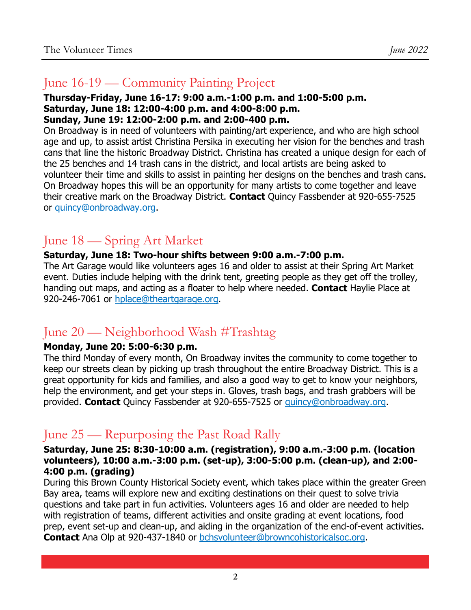## June 16-19 — Community Painting Project

#### **Thursday-Friday, June 16-17: 9:00 a.m.-1:00 p.m. and 1:00-5:00 p.m. Saturday, June 18: 12:00-4:00 p.m. and 4:00-8:00 p.m. Sunday, June 19: 12:00-2:00 p.m. and 2:00-400 p.m.**

On Broadway is in need of volunteers with painting/art experience, and who are high school age and up, to assist artist Christina Persika in executing her vision for the benches and trash cans that line the historic Broadway District. Christina has created a unique design for each of the 25 benches and 14 trash cans in the district, and local artists are being asked to volunteer their time and skills to assist in painting her designs on the benches and trash cans. On Broadway hopes this will be an opportunity for many artists to come together and leave their creative mark on the Broadway District. **Contact** Quincy Fassbender at 920-655-7525 or [quincy@onbroadway.org.](mailto:quincy@onbroadway.org)

## June 18 — Spring Art Market

#### **Saturday, June 18: Two-hour shifts between 9:00 a.m.-7:00 p.m.**

The Art Garage would like volunteers ages 16 and older to assist at their Spring Art Market event. Duties include helping with the drink tent, greeting people as they get off the trolley, handing out maps, and acting as a floater to help where needed. **Contact** Haylie Place at 920-246-7061 or [hplace@theartgarage.org.](mailto:hplace@theartgarage.org)

## June 20 — Neighborhood Wash #Trashtag

#### **Monday, June 20: 5:00-6:30 p.m.**

The third Monday of every month, On Broadway invites the community to come together to keep our streets clean by picking up trash throughout the entire Broadway District. This is a great opportunity for kids and families, and also a good way to get to know your neighbors, help the environment, and get your steps in. Gloves, trash bags, and trash grabbers will be provided. **Contact** Quincy Fassbender at 920-655-7525 or [quincy@onbroadway.org.](mailto:quincy@onbroadway.org)

## June 25 — Repurposing the Past Road Rally

#### **Saturday, June 25: 8:30-10:00 a.m. (registration), 9:00 a.m.-3:00 p.m. (location volunteers), 10:00 a.m.-3:00 p.m. (set-up), 3:00-5:00 p.m. (clean-up), and 2:00- 4:00 p.m. (grading)**

During this Brown County Historical Society event, which takes place within the greater Green Bay area, teams will explore new and exciting destinations on their quest to solve trivia questions and take part in fun activities. Volunteers ages 16 and older are needed to help with registration of teams, different activities and onsite grading at event locations, food prep, event set-up and clean-up, and aiding in the organization of the end-of-event activities. **Contact** Ana Olp at 920-437-1840 or [bchsvolunteer@browncohistoricalsoc.org.](mailto:bchsvolunteer@browncohistoricalsoc.org)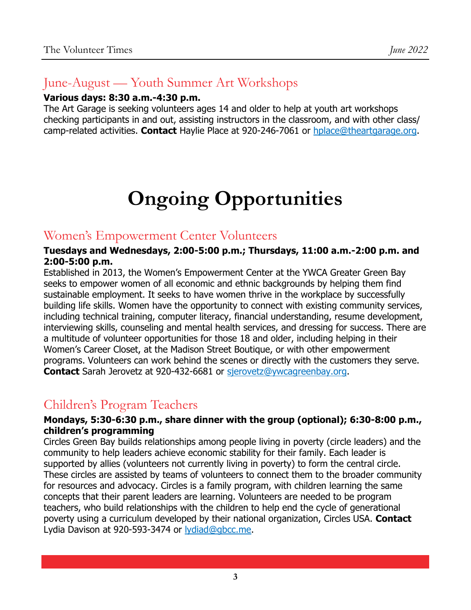## June-August — Youth Summer Art Workshops

#### **Various days: 8:30 a.m.-4:30 p.m.**

The Art Garage is seeking volunteers ages 14 and older to help at youth art workshops checking participants in and out, assisting instructors in the classroom, and with other class/ camp-related activities. **Contact** Haylie Place at 920-246-7061 or [hplace@theartgarage.org.](mailto:hplace@theartgarage.org)

## **Ongoing Opportunities**

#### Women's Empowerment Center Volunteers

#### **Tuesdays and Wednesdays, 2:00-5:00 p.m.; Thursdays, 11:00 a.m.-2:00 p.m. and 2:00-5:00 p.m.**

Established in 2013, the Women's Empowerment Center at the YWCA Greater Green Bay seeks to empower women of all economic and ethnic backgrounds by helping them find sustainable employment. It seeks to have women thrive in the workplace by successfully building life skills. Women have the opportunity to connect with existing community services, including technical training, computer literacy, financial understanding, resume development, interviewing skills, counseling and mental health services, and dressing for success. There are a multitude of volunteer opportunities for those 18 and older, including helping in their Women's Career Closet, at the Madison Street Boutique, or with other empowerment programs. Volunteers can work behind the scenes or directly with the customers they serve. **Contact** Sarah Jerovetz at 920-432-6681 or [sjerovetz@ywcagreenbay.org.](mailto:sjerovetz@ywcagreenbay.org)

### Children's Program Teachers

#### **Mondays, 5:30-6:30 p.m., share dinner with the group (optional); 6:30-8:00 p.m., children's programming**

Circles Green Bay builds relationships among people living in poverty (circle leaders) and the community to help leaders achieve economic stability for their family. Each leader is supported by allies (volunteers not currently living in poverty) to form the central circle. These circles are assisted by teams of volunteers to connect them to the broader community for resources and advocacy. Circles is a family program, with children learning the same concepts that their parent leaders are learning. Volunteers are needed to be program teachers, who build relationships with the children to help end the cycle of generational poverty using a curriculum developed by their national organization, Circles USA. **Contact**  Lydia Davison at 920-593-3474 or **lydiad@gbcc.me.**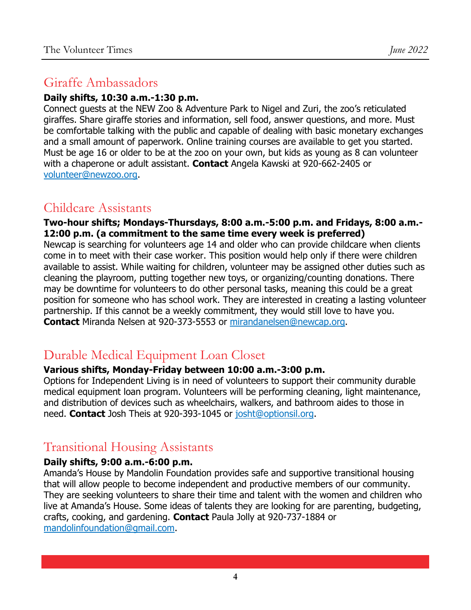## Giraffe Ambassadors

#### **Daily shifts, 10:30 a.m.-1:30 p.m.**

Connect guests at the NEW Zoo & Adventure Park to Nigel and Zuri, the zoo's reticulated giraffes. Share giraffe stories and information, sell food, answer questions, and more. Must be comfortable talking with the public and capable of dealing with basic monetary exchanges and a small amount of paperwork. Online training courses are available to get you started. Must be age 16 or older to be at the zoo on your own, but kids as young as 8 can volunteer with a chaperone or adult assistant. **Contact** Angela Kawski at 920-662-2405 or [volunteer@newzoo.org.](mailto:volunteer@newzoo.org)

## Childcare Assistants

**Two-hour shifts; Mondays-Thursdays, 8:00 a.m.-5:00 p.m. and Fridays, 8:00 a.m.- 12:00 p.m. (a commitment to the same time every week is preferred)**

Newcap is searching for volunteers age 14 and older who can provide childcare when clients come in to meet with their case worker. This position would help only if there were children available to assist. While waiting for children, volunteer may be assigned other duties such as cleaning the playroom, putting together new toys, or organizing/counting donations. There may be downtime for volunteers to do other personal tasks, meaning this could be a great position for someone who has school work. They are interested in creating a lasting volunteer partnership. If this cannot be a weekly commitment, they would still love to have you. **Contact** Miranda Nelsen at 920-373-5553 or [mirandanelsen@newcap.org.](mailto:mirandanelsen@newcap.org)

## Durable Medical Equipment Loan Closet

#### **Various shifts, Monday-Friday between 10:00 a.m.-3:00 p.m.**

Options for Independent Living is in need of volunteers to support their community durable medical equipment loan program. Volunteers will be performing cleaning, light maintenance, and distribution of devices such as wheelchairs, walkers, and bathroom aides to those in need. **Contact** Josh Theis at 920-393-1045 or [josht@optionsil.org.](mailto:josht@optionsil.org)

## Transitional Housing Assistants

#### **Daily shifts, 9:00 a.m.-6:00 p.m.**

Amanda's House by Mandolin Foundation provides safe and supportive transitional housing that will allow people to become independent and productive members of our community. They are seeking volunteers to share their time and talent with the women and children who live at Amanda's House. Some ideas of talents they are looking for are parenting, budgeting, crafts, cooking, and gardening. **Contact** Paula Jolly at 920-737-1884 or [mandolinfoundation@gmail.com.](mailto:mandolinfoundation@gmail.com)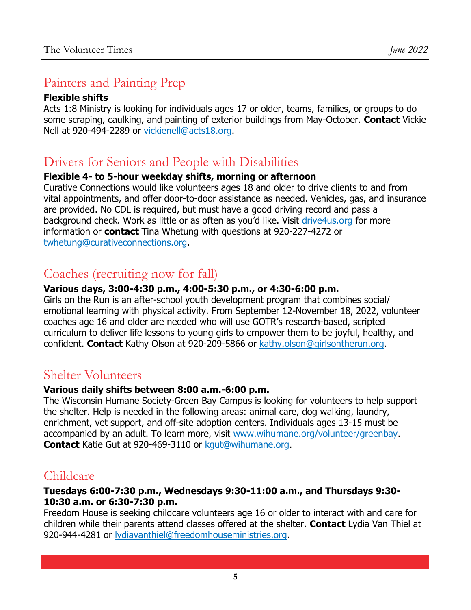## Painters and Painting Prep

#### **Flexible shifts**

Acts 1:8 Ministry is looking for individuals ages 17 or older, teams, families, or groups to do some scraping, caulking, and painting of exterior buildings from May-October. **Contact** Vickie Nell at 920-494-2289 or [vickienell@acts18.org.](mailto:vickienell@acts18.org)

## Drivers for Seniors and People with Disabilities

#### **Flexible 4- to 5-hour weekday shifts, morning or afternoon**

Curative Connections would like volunteers ages 18 and older to drive clients to and from vital appointments, and offer door-to-door assistance as needed. Vehicles, gas, and insurance are provided. No CDL is required, but must have a good driving record and pass a background check. Work as little or as often as you'd like. Visit [drive4us.org](https://www.curativeconnections.org/pages/specialized-transportation-services-become-a-volunteer-driver/?utm_source=drive4us) for more information or **contact** Tina Whetung with questions at 920-227-4272 or [twhetung@curativeconnections.org.](mailto:twhetung@curativeconnections.org)

## Coaches (recruiting now for fall)

#### **Various days, 3:00-4:30 p.m., 4:00-5:30 p.m., or 4:30-6:00 p.m.**

Girls on the Run is an after-school youth development program that combines social/ emotional learning with physical activity. From September 12-November 18, 2022, volunteer coaches age 16 and older are needed who will use GOTR's research-based, scripted curriculum to deliver life lessons to young girls to empower them to be joyful, healthy, and confident. **Contact** Kathy Olson at 920-209-5866 or [kathy.olson@girlsontherun.org.](mailto:kathy.olson@girlsontherun.org)

## Shelter Volunteers

#### **Various daily shifts between 8:00 a.m.-6:00 p.m.**

The Wisconsin Humane Society-Green Bay Campus is looking for volunteers to help support the shelter. Help is needed in the following areas: animal care, dog walking, laundry, enrichment, vet support, and off-site adoption centers. Individuals ages 13-15 must be accompanied by an adult. To learn more, visit [www.wihumane.org/volunteer/greenbay.](https://www.wihumane.org/volunteer/greenbay)  **Contact** Katie Gut at 920-469-3110 or [kgut@wihumane.org.](mailto:kgut@wihumane.org)

## Childcare

#### **Tuesdays 6:00-7:30 p.m., Wednesdays 9:30-11:00 a.m., and Thursdays 9:30- 10:30 a.m. or 6:30-7:30 p.m.**

Freedom House is seeking childcare volunteers age 16 or older to interact with and care for children while their parents attend classes offered at the shelter. **Contact** Lydia Van Thiel at 920-944-4281 or [lydiavanthiel@freedomhouseministries.org.](mailto:lydiavanthiel@freedomhouseministries.org)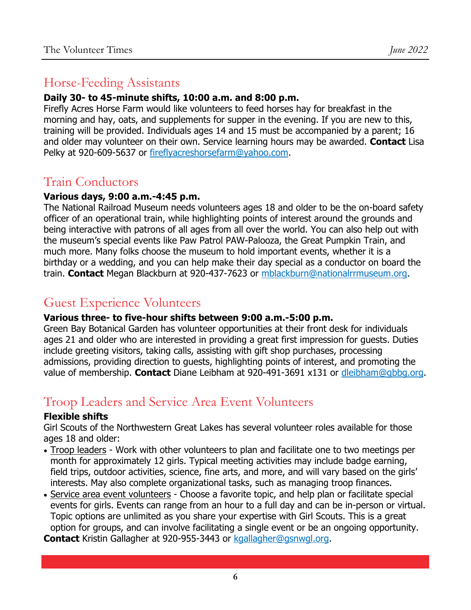### Horse-Feeding Assistants

#### **Daily 30- to 45-minute shifts, 10:00 a.m. and 8:00 p.m.**

Firefly Acres Horse Farm would like volunteers to feed horses hay for breakfast in the morning and hay, oats, and supplements for supper in the evening. If you are new to this, training will be provided. Individuals ages 14 and 15 must be accompanied by a parent; 16 and older may volunteer on their own. Service learning hours may be awarded. **Contact** Lisa Pelky at 920-609-5637 or [fireflyacreshorsefarm@yahoo.com.](mailto:fireflyacreshorsefarm@yahoo.com)

## Train Conductors

#### **Various days, 9:00 a.m.-4:45 p.m.**

The National Railroad Museum needs volunteers ages 18 and older to be the on-board safety officer of an operational train, while highlighting points of interest around the grounds and being interactive with patrons of all ages from all over the world. You can also help out with the museum's special events like Paw Patrol PAW-Palooza, the Great Pumpkin Train, and much more. Many folks choose the museum to hold important events, whether it is a birthday or a wedding, and you can help make their day special as a conductor on board the train. **Contact** Megan Blackburn at 920-437-7623 or [mblackburn@nationalrrmuseum.org.](mailto:mblackburn@nationalrrmuseum.org)

## Guest Experience Volunteers

#### **Various three- to five-hour shifts between 9:00 a.m.-5:00 p.m.**

Green Bay Botanical Garden has volunteer opportunities at their front desk for individuals ages 21 and older who are interested in providing a great first impression for guests. Duties include greeting visitors, taking calls, assisting with gift shop purchases, processing admissions, providing direction to guests, highlighting points of interest, and promoting the value of membership. **Contact** Diane Leibham at 920-491-3691 x131 or [dleibham@gbbg.org.](mailto:dleibham@gbbg.org)

## Troop Leaders and Service Area Event Volunteers

#### **Flexible shifts**

Girl Scouts of the Northwestern Great Lakes has several volunteer roles available for those ages 18 and older:

- Troop leaders Work with other volunteers to plan and facilitate one to two meetings per month for approximately 12 girls. Typical meeting activities may include badge earning, field trips, outdoor activities, science, fine arts, and more, and will vary based on the girls' interests. May also complete organizational tasks, such as managing troop finances.
- Service area event volunteers Choose a favorite topic, and help plan or facilitate special events for girls. Events can range from an hour to a full day and can be in-person or virtual. Topic options are unlimited as you share your expertise with Girl Scouts. This is a great option for groups, and can involve facilitating a single event or be an ongoing opportunity. **Contact** Kristin Gallagher at 920-955-3443 or [kgallagher@gsnwgl.org.](mailto:kgallagher@gsnwgl.org)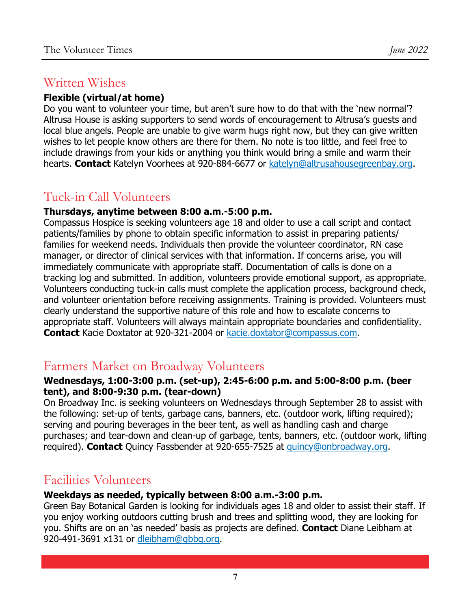## Written Wishes

#### **Flexible (virtual/at home)**

Do you want to volunteer your time, but aren't sure how to do that with the 'new normal'? Altrusa House is asking supporters to send words of encouragement to Altrusa's guests and local blue angels. People are unable to give warm hugs right now, but they can give written wishes to let people know others are there for them. No note is too little, and feel free to include drawings from your kids or anything you think would bring a smile and warm their hearts. **Contact** Katelyn Voorhees at 920-884-6677 or [katelyn@altrusahousegreenbay.org.](mailto:katelyn@altrusahousegreenbay.org)

## Tuck-in Call Volunteers

#### **Thursdays, anytime between 8:00 a.m.-5:00 p.m.**

Compassus Hospice is seeking volunteers age 18 and older to use a call script and contact patients/families by phone to obtain specific information to assist in preparing patients/ families for weekend needs. Individuals then provide the volunteer coordinator, RN case manager, or director of clinical services with that information. If concerns arise, you will immediately communicate with appropriate staff. Documentation of calls is done on a tracking log and submitted. In addition, volunteers provide emotional support, as appropriate. Volunteers conducting tuck-in calls must complete the application process, background check, and volunteer orientation before receiving assignments. Training is provided. Volunteers must clearly understand the supportive nature of this role and how to escalate concerns to appropriate staff. Volunteers will always maintain appropriate boundaries and confidentiality. **Contact** Kacie Doxtator at 920-321-2004 or [kacie.doxtator@compassus.com.](mailto:kacie.doxtator@compassus.com)

### Farmers Market on Broadway Volunteers

#### **Wednesdays, 1:00-3:00 p.m. (set-up), 2:45-6:00 p.m. and 5:00-8:00 p.m. (beer tent), and 8:00-9:30 p.m. (tear-down)**

On Broadway Inc. is seeking volunteers on Wednesdays through September 28 to assist with the following: set-up of tents, garbage cans, banners, etc. (outdoor work, lifting required); serving and pouring beverages in the beer tent, as well as handling cash and charge purchases; and tear-down and clean-up of garbage, tents, banners, etc. (outdoor work, lifting required). **Contact** Quincy Fassbender at 920-655-7525 at [quincy@onbroadway.org.](mailto:quincy@onbroadway.org)

## Facilities Volunteers

#### **Weekdays as needed, typically between 8:00 a.m.-3:00 p.m.**

Green Bay Botanical Garden is looking for individuals ages 18 and older to assist their staff. If you enjoy working outdoors cutting brush and trees and splitting wood, they are looking for you. Shifts are on an 'as needed' basis as projects are defined. **Contact** Diane Leibham at 920-491-3691 x131 or [dleibham@gbbg.org.](mailto:dleibham@gbbg.org)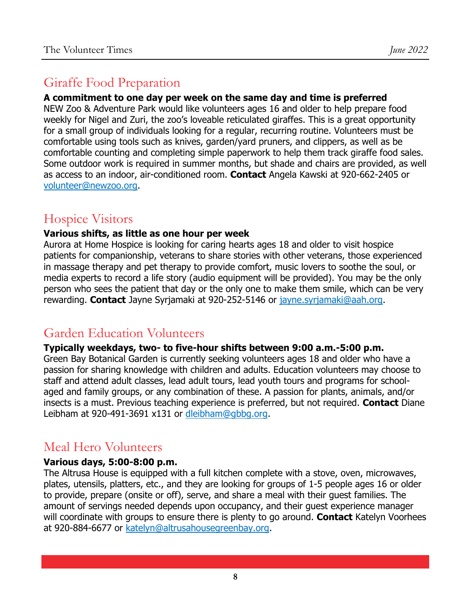## Giraffe Food Preparation

#### **A commitment to one day per week on the same day and time is preferred**

NEW Zoo & Adventure Park would like volunteers ages 16 and older to help prepare food weekly for Nigel and Zuri, the zoo's loveable reticulated giraffes. This is a great opportunity for a small group of individuals looking for a regular, recurring routine. Volunteers must be comfortable using tools such as knives, garden/yard pruners, and clippers, as well as be comfortable counting and completing simple paperwork to help them track giraffe food sales. Some outdoor work is required in summer months, but shade and chairs are provided, as well as access to an indoor, air-conditioned room. **Contact** Angela Kawski at 920-662-2405 or [volunteer@newzoo.org.](mailto:volunteer@newzoo.org)

## Hospice Visitors

#### **Various shifts, as little as one hour per week**

Aurora at Home Hospice is looking for caring hearts ages 18 and older to visit hospice patients for companionship, veterans to share stories with other veterans, those experienced in massage therapy and pet therapy to provide comfort, music lovers to soothe the soul, or media experts to record a life story (audio equipment will be provided). You may be the only person who sees the patient that day or the only one to make them smile, which can be very rewarding. **Contact** Jayne Syrjamaki at 920-252-5146 or [jayne.syrjamaki@aah.org.](mailto:jayne.syrjamaki@aah.org)

## Garden Education Volunteers

#### **Typically weekdays, two- to five-hour shifts between 9:00 a.m.-5:00 p.m.**

Green Bay Botanical Garden is currently seeking volunteers ages 18 and older who have a passion for sharing knowledge with children and adults. Education volunteers may choose to staff and attend adult classes, lead adult tours, lead youth tours and programs for schoolaged and family groups, or any combination of these. A passion for plants, animals, and/or insects is a must. Previous teaching experience is preferred, but not required. **Contact** Diane Leibham at 920-491-3691 x131 or [dleibham@gbbg.org.](mailto:dleibham@gbbg.org)

## Meal Hero Volunteers

#### **Various days, 5:00-8:00 p.m.**

The Altrusa House is equipped with a full kitchen complete with a stove, oven, microwaves, plates, utensils, platters, etc., and they are looking for groups of 1-5 people ages 16 or older to provide, prepare (onsite or off), serve, and share a meal with their guest families. The amount of servings needed depends upon occupancy, and their guest experience manager will coordinate with groups to ensure there is plenty to go around. **Contact** Katelyn Voorhees at 920-884-6677 or [katelyn@altrusahousegreenbay.org.](mailto:katelyn@altrusahousegreenbay.org)